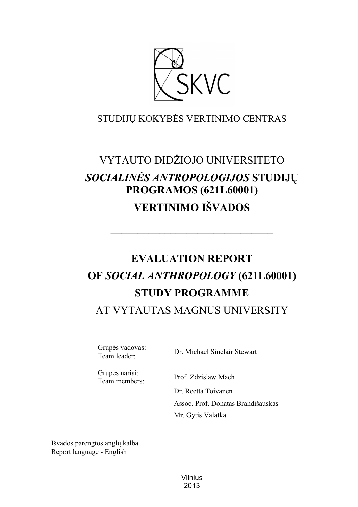

# STUDIJŲ KOKYBĖS VERTINIMO CENTRAS

# VYTAUTO DIDŽIOJO UNIVERSITETO *SOCIALINĖS ANTROPOLOGIJOS* **STUDIJŲ PROGRAMOS (621L60001) VERTINIMO IŠVADOS**

# **EVALUATION REPORT OF** *SOCIAL ANTHROPOLOGY* **(621L60001) STUDY PROGRAMME**

––––––––––––––––––––––––––––––

# AT VYTAUTAS MAGNUS UNIVERSITY

Grupės vadovas:

Team leader: Dr. Michael Sinclair Stewart

Grupės nariai:

Team members: Prof. Zdzislaw Mach

Dr. Reetta Toivanen Assoc. Prof. Donatas Brandišauskas Mr. Gytis Valatka

Išvados parengtos anglų kalba Report language - English

> Vilnius 2013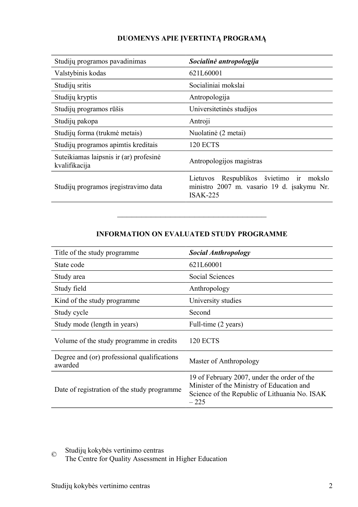# **DUOMENYS APIE ĮVERTINTĄ PROGRAMĄ**

| Studijų programos pavadinimas                           | Socialinė antropologija                                                                                     |
|---------------------------------------------------------|-------------------------------------------------------------------------------------------------------------|
| Valstybinis kodas                                       | 621L60001                                                                                                   |
| Studijų sritis                                          | Socialiniai mokslai                                                                                         |
| Studijų kryptis                                         | Antropologija                                                                                               |
| Studijų programos rūšis                                 | Universitetinės studijos                                                                                    |
| Studijų pakopa                                          | Antroji                                                                                                     |
| Studijų forma (trukmė metais)                           | Nuolatinė (2 metai)                                                                                         |
| Studijų programos apimtis kreditais                     | <b>120 ECTS</b>                                                                                             |
| Suteikiamas laipsnis ir (ar) profesinė<br>kvalifikacija | Antropologijos magistras                                                                                    |
| Studijų programos įregistravimo data                    | Lietuvos Respublikos švietimo ir<br>mokslo<br>ministro 2007 m. vasario 19 d. įsakymu Nr.<br><b>ISAK-225</b> |

### **INFORMATION ON EVALUATED STUDY PROGRAMME**

–––––––––––––––––––––––––––––––

| Title of the study programme                           | <b>Social Anthropology</b>                                                                                                                          |
|--------------------------------------------------------|-----------------------------------------------------------------------------------------------------------------------------------------------------|
| State code                                             | 621L60001                                                                                                                                           |
| Study area                                             | Social Sciences                                                                                                                                     |
| Study field                                            | Anthropology                                                                                                                                        |
| Kind of the study programme                            | University studies                                                                                                                                  |
| Study cycle                                            | Second                                                                                                                                              |
| Study mode (length in years)                           | Full-time (2 years)                                                                                                                                 |
| Volume of the study programme in credits               | <b>120 ECTS</b>                                                                                                                                     |
| Degree and (or) professional qualifications<br>awarded | Master of Anthropology                                                                                                                              |
| Date of registration of the study programme            | 19 of February 2007, under the order of the<br>Minister of the Ministry of Education and<br>Science of the Republic of Lithuania No. ISAK<br>$-225$ |

© Studijų kokybės vertinimo centras

The Centre for Quality Assessment in Higher Education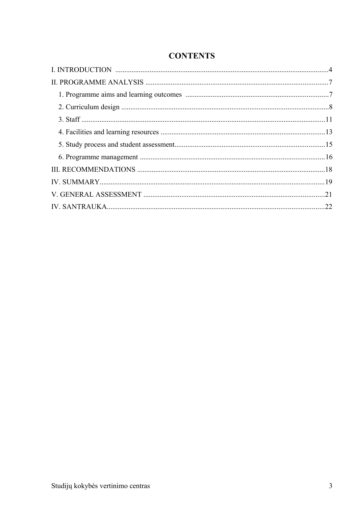# **CONTENTS**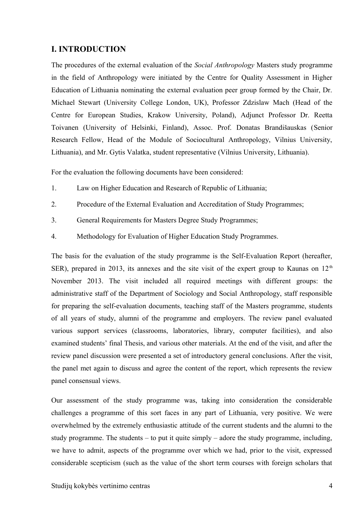# <span id="page-3-0"></span>**I. INTRODUCTION**

The procedures of the external evaluation of the *Social Anthropology* Masters study programme in the field of Anthropology were initiated by the Centre for Quality Assessment in Higher Education of Lithuania nominating the external evaluation peer group formed by the Chair, Dr. Michael Stewart (University College London, UK), Professor Zdzislaw Mach (Head of the Centre for European Studies, Krakow University, Poland), Adjunct Professor Dr. Reetta Toivanen (University of Helsinki, Finland), Assoc. Prof. Donatas Brandišauskas (Senior Research Fellow, Head of the Module of Sociocultural Anthropology, Vilnius University, Lithuania), and Mr. Gytis Valatka, student representative (Vilnius University, Lithuania).

For the evaluation the following documents have been considered:

- 1. Law on Higher Education and Research of Republic of Lithuania;
- 2. Procedure of the External Evaluation and Accreditation of Study Programmes;
- 3. General Requirements for Masters Degree Study Programmes;
- 4. Methodology for Evaluation of Higher Education Study Programmes.

The basis for the evaluation of the study programme is the Self-Evaluation Report (hereafter, SER), prepared in 2013, its annexes and the site visit of the expert group to Kaunas on  $12<sup>th</sup>$ November 2013. The visit included all required meetings with different groups: the administrative staff of the Department of Sociology and Social Anthropology, staff responsible for preparing the self-evaluation documents, teaching staff of the Masters programme, students of all years of study, alumni of the programme and employers. The review panel evaluated various support services (classrooms, laboratories, library, computer facilities), and also examined students' final Thesis, and various other materials. At the end of the visit, and after the review panel discussion were presented a set of introductory general conclusions. After the visit, the panel met again to discuss and agree the content of the report, which represents the review panel consensual views.

Our assessment of the study programme was, taking into consideration the considerable challenges a programme of this sort faces in any part of Lithuania, very positive. We were overwhelmed by the extremely enthusiastic attitude of the current students and the alumni to the study programme. The students – to put it quite simply – adore the study programme, including, we have to admit, aspects of the programme over which we had, prior to the visit, expressed considerable scepticism (such as the value of the short term courses with foreign scholars that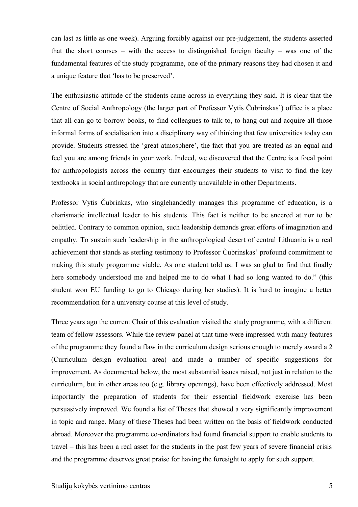can last as little as one week). Arguing forcibly against our pre-judgement, the students asserted that the short courses – with the access to distinguished foreign faculty – was one of the fundamental features of the study programme, one of the primary reasons they had chosen it and a unique feature that 'has to be preserved'.

The enthusiastic attitude of the students came across in everything they said. It is clear that the Centre of Social Anthropology (the larger part of Professor Vytis Čubrinskas') office is a place that all can go to borrow books, to find colleagues to talk to, to hang out and acquire all those informal forms of socialisation into a disciplinary way of thinking that few universities today can provide. Students stressed the 'great atmosphere', the fact that you are treated as an equal and feel you are among friends in your work. Indeed, we discovered that the Centre is a focal point for anthropologists across the country that encourages their students to visit to find the key textbooks in social anthropology that are currently unavailable in other Departments.

Professor Vytis Čubrinkas, who singlehandedly manages this programme of education, is a charismatic intellectual leader to his students. This fact is neither to be sneered at nor to be belittled. Contrary to common opinion, such leadership demands great efforts of imagination and empathy. To sustain such leadership in the anthropological desert of central Lithuania is a real achievement that stands as sterling testimony to Professor Čubrinskas' profound commitment to making this study programme viable. As one student told us: I was so glad to find that finally here somebody understood me and helped me to do what I had so long wanted to do." (this student won EU funding to go to Chicago during her studies). It is hard to imagine a better recommendation for a university course at this level of study.

Three years ago the current Chair of this evaluation visited the study programme, with a different team of fellow assessors. While the review panel at that time were impressed with many features of the programme they found a flaw in the curriculum design serious enough to merely award a 2 (Curriculum design evaluation area) and made a number of specific suggestions for improvement. As documented below, the most substantial issues raised, not just in relation to the curriculum, but in other areas too (e.g. library openings), have been effectively addressed. Most importantly the preparation of students for their essential fieldwork exercise has been persuasively improved. We found a list of Theses that showed a very significantly improvement in topic and range. Many of these Theses had been written on the basis of fieldwork conducted abroad. Moreover the programme co-ordinators had found financial support to enable students to travel – this has been a real asset for the students in the past few years of severe financial crisis and the programme deserves great praise for having the foresight to apply for such support.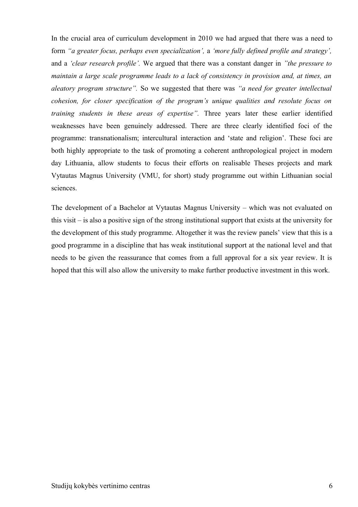In the crucial area of curriculum development in 2010 we had argued that there was a need to form *"a greater focus, perhaps even specialization',* a *'more fully defined profile and strategy',* and a *'clear research profile'.* We argued that there was a constant danger in *"the pressure to maintain a large scale programme leads to a lack of consistency in provision and, at times, an aleatory program structure".* So we suggested that there was *"a need for greater intellectual cohesion, for closer specification of the program's unique qualities and resolute focus on training students in these areas of expertise".* Three years later these earlier identified weaknesses have been genuinely addressed. There are three clearly identified foci of the programme: transnationalism; intercultural interaction and 'state and religion'. These foci are both highly appropriate to the task of promoting a coherent anthropological project in modern day Lithuania, allow students to focus their efforts on realisable Theses projects and mark Vytautas Magnus University (VMU, for short) study programme out within Lithuanian social sciences.

The development of a Bachelor at Vytautas Magnus University – which was not evaluated on this visit – is also a positive sign of the strong institutional support that exists at the university for the development of this study programme. Altogether it was the review panels' view that this is a good programme in a discipline that has weak institutional support at the national level and that needs to be given the reassurance that comes from a full approval for a six year review. It is hoped that this will also allow the university to make further productive investment in this work.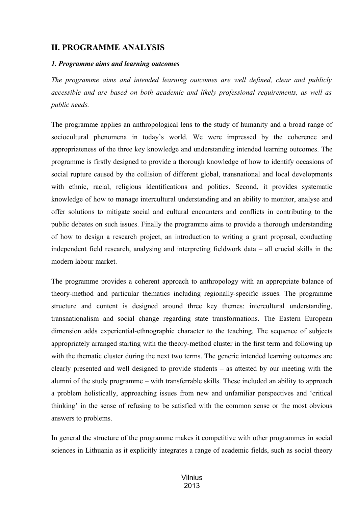# <span id="page-6-1"></span>**II. PROGRAMME ANALYSIS**

#### <span id="page-6-0"></span>*1. Programme aims and learning outcomes*

*The programme aims and intended learning outcomes are well defined, clear and publicly accessible and are based on both academic and likely professional requirements, as well as public needs.*

The programme applies an anthropological lens to the study of humanity and a broad range of sociocultural phenomena in today's world. We were impressed by the coherence and appropriateness of the three key knowledge and understanding intended learning outcomes. The programme is firstly designed to provide a thorough knowledge of how to identify occasions of social rupture caused by the collision of different global, transnational and local developments with ethnic, racial, religious identifications and politics. Second, it provides systematic knowledge of how to manage intercultural understanding and an ability to monitor, analyse and offer solutions to mitigate social and cultural encounters and conflicts in contributing to the public debates on such issues. Finally the programme aims to provide a thorough understanding of how to design a research project, an introduction to writing a grant proposal, conducting independent field research, analysing and interpreting fieldwork data – all crucial skills in the modern labour market.

The programme provides a coherent approach to anthropology with an appropriate balance of theory-method and particular thematics including regionally-specific issues. The programme structure and content is designed around three key themes: intercultural understanding, transnationalism and social change regarding state transformations. The Eastern European dimension adds experiential-ethnographic character to the teaching. The sequence of subjects appropriately arranged starting with the theory-method cluster in the first term and following up with the thematic cluster during the next two terms. The generic intended learning outcomes are clearly presented and well designed to provide students – as attested by our meeting with the alumni of the study programme – with transferrable skills. These included an ability to approach a problem holistically, approaching issues from new and unfamiliar perspectives and 'critical thinking' in the sense of refusing to be satisfied with the common sense or the most obvious answers to problems.

In general the structure of the programme makes it competitive with other programmes in social sciences in Lithuania as it explicitly integrates a range of academic fields, such as social theory

#### Vilnius 2013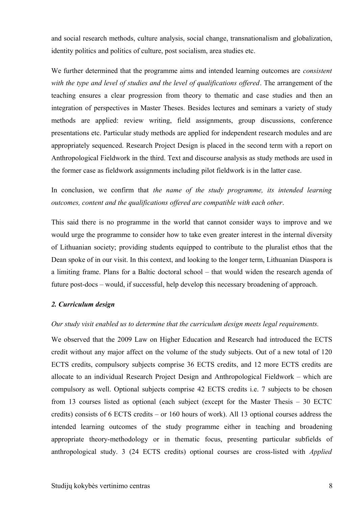and social research methods, culture analysis, social change, transnationalism and globalization, identity politics and politics of culture, post socialism, area studies etc.

We further determined that the programme aims and intended learning outcomes are *consistent with the type and level of studies and the level of qualifications offered*. The arrangement of the teaching ensures a clear progression from theory to thematic and case studies and then an integration of perspectives in Master Theses. Besides lectures and seminars a variety of study methods are applied: review writing, field assignments, group discussions, conference presentations etc. Particular study methods are applied for independent research modules and are appropriately sequenced. Research Project Design is placed in the second term with a report on Anthropological Fieldwork in the third. Text and discourse analysis as study methods are used in the former case as fieldwork assignments including pilot fieldwork is in the latter case.

In conclusion, we confirm that *the name of the study programme, its intended learning outcomes, content and the qualifications offered are compatible with each other*.

This said there is no programme in the world that cannot consider ways to improve and we would urge the programme to consider how to take even greater interest in the internal diversity of Lithuanian society; providing students equipped to contribute to the pluralist ethos that the Dean spoke of in our visit. In this context, and looking to the longer term, Lithuanian Diaspora is a limiting frame. Plans for a Baltic doctoral school – that would widen the research agenda of future post-docs – would, if successful, help develop this necessary broadening of approach.

#### <span id="page-7-0"></span>*2. Curriculum design*

#### *Our study visit enabled us to determine that the curriculum design meets legal requirements.*

We observed that the 2009 Law on Higher Education and Research had introduced the ECTS credit without any major affect on the volume of the study subjects. Out of a new total of 120 ECTS credits, compulsory subjects comprise 36 ECTS credits, and 12 more ECTS credits are allocate to an individual Research Project Design and Anthropological Fieldwork – which are compulsory as well. Optional subjects comprise 42 ECTS credits i.e. 7 subjects to be chosen from 13 courses listed as optional (each subject (except for the Master Thesis – 30 ECTC credits) consists of 6 ECTS credits – or 160 hours of work). All 13 optional courses address the intended learning outcomes of the study programme either in teaching and broadening appropriate theory-methodology or in thematic focus, presenting particular subfields of anthropological study. 3 (24 ECTS credits) optional courses are cross-listed with *Applied*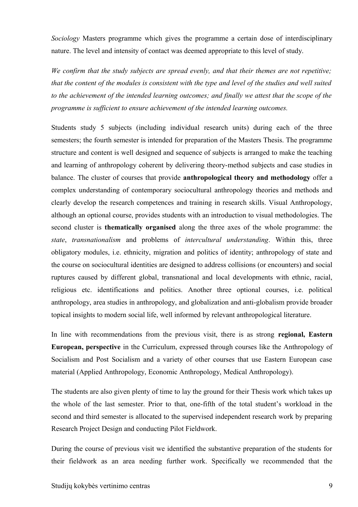*Sociology* Masters programme which gives the programme a certain dose of interdisciplinary nature. The level and intensity of contact was deemed appropriate to this level of study.

*We confirm that the study subjects are spread evenly, and that their themes are not repetitive; that the content of the modules is consistent with the type and level of the studies and well suited to the achievement of the intended learning outcomes; and finally we attest that the scope of the programme is sufficient to ensure achievement of the intended learning outcomes.*

Students study 5 subjects (including individual research units) during each of the three semesters; the fourth semester is intended for preparation of the Masters Thesis. The programme structure and content is well designed and sequence of subjects is arranged to make the teaching and learning of anthropology coherent by delivering theory-method subjects and case studies in balance. The cluster of courses that provide **anthropological theory and methodology** offer a complex understanding of contemporary sociocultural anthropology theories and methods and clearly develop the research competences and training in research skills. Visual Anthropology, although an optional course, provides students with an introduction to visual methodologies. The second cluster is **thematically organised** along the three axes of the whole programme: the *state*, *transnationalism* and problems of *intercultural understanding*. Within this, three obligatory modules, i.e. ethnicity, migration and politics of identity; anthropology of state and the course on sociocultural identities are designed to address collisions (or encounters) and social ruptures caused by different global, transnational and local developments with ethnic, racial, religious etc. identifications and politics. Another three optional courses, i.e. political anthropology, area studies in anthropology, and globalization and anti-globalism provide broader topical insights to modern social life, well informed by relevant anthropological literature.

In line with recommendations from the previous visit, there is as strong **regional, Eastern European, perspective** in the Curriculum, expressed through courses like the Anthropology of Socialism and Post Socialism and a variety of other courses that use Eastern European case material (Applied Anthropology, Economic Anthropology, Medical Anthropology).

The students are also given plenty of time to lay the ground for their Thesis work which takes up the whole of the last semester. Prior to that, one-fifth of the total student's workload in the second and third semester is allocated to the supervised independent research work by preparing Research Project Design and conducting Pilot Fieldwork.

During the course of previous visit we identified the substantive preparation of the students for their fieldwork as an area needing further work. Specifically we recommended that the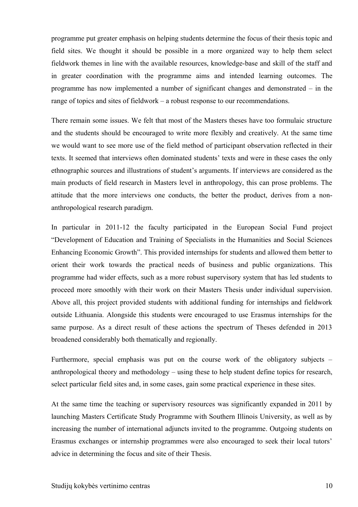programme put greater emphasis on helping students determine the focus of their thesis topic and field sites. We thought it should be possible in a more organized way to help them select fieldwork themes in line with the available resources, knowledge-base and skill of the staff and in greater coordination with the programme aims and intended learning outcomes. The programme has now implemented a number of significant changes and demonstrated – in the range of topics and sites of fieldwork – a robust response to our recommendations.

There remain some issues. We felt that most of the Masters theses have too formulaic structure and the students should be encouraged to write more flexibly and creatively. At the same time we would want to see more use of the field method of participant observation reflected in their texts. It seemed that interviews often dominated students' texts and were in these cases the only ethnographic sources and illustrations of student's arguments. If interviews are considered as the main products of field research in Masters level in anthropology, this can prose problems. The attitude that the more interviews one conducts, the better the product, derives from a nonanthropological research paradigm.

In particular in 2011-12 the faculty participated in the European Social Fund project "Development of Education and Training of Specialists in the Humanities and Social Sciences Enhancing Economic Growth". This provided internships for students and allowed them better to orient their work towards the practical needs of business and public organizations. This programme had wider effects, such as a more robust supervisory system that has led students to proceed more smoothly with their work on their Masters Thesis under individual supervision. Above all, this project provided students with additional funding for internships and fieldwork outside Lithuania. Alongside this students were encouraged to use Erasmus internships for the same purpose. As a direct result of these actions the spectrum of Theses defended in 2013 broadened considerably both thematically and regionally.

Furthermore, special emphasis was put on the course work of the obligatory subjects – anthropological theory and methodology – using these to help student define topics for research, select particular field sites and, in some cases, gain some practical experience in these sites.

At the same time the teaching or supervisory resources was significantly expanded in 2011 by launching Masters Certificate Study Programme with Southern Illinois University, as well as by increasing the number of international adjuncts invited to the programme. Outgoing students on Erasmus exchanges or internship programmes were also encouraged to seek their local tutors' advice in determining the focus and site of their Thesis.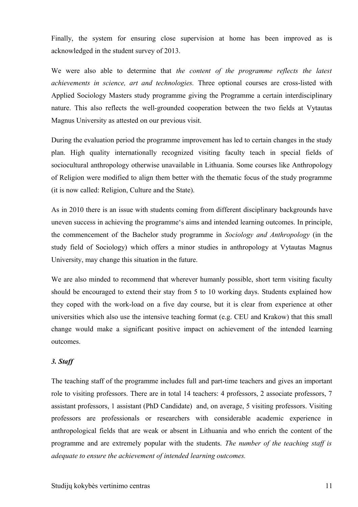Finally, the system for ensuring close supervision at home has been improved as is acknowledged in the student survey of 2013.

We were also able to determine that *the content of the programme reflects the latest achievements in science, art and technologies.* Three optional courses are cross-listed with Applied Sociology Masters study programme giving the Programme a certain interdisciplinary nature. This also reflects the well-grounded cooperation between the two fields at Vytautas Magnus University as attested on our previous visit.

During the evaluation period the programme improvement has led to certain changes in the study plan. High quality internationally recognized visiting faculty teach in special fields of sociocultural anthropology otherwise unavailable in Lithuania. Some courses like Anthropology of Religion were modified to align them better with the thematic focus of the study programme (it is now called: Religion, Culture and the State).

As in 2010 there is an issue with students coming from different disciplinary backgrounds have uneven success in achieving the programme's aims and intended learning outcomes. In principle, the commencement of the Bachelor study programme in *Sociology and Anthropology* (in the study field of Sociology) which offers a minor studies in anthropology at Vytautas Magnus University, may change this situation in the future.

We are also minded to recommend that wherever humanly possible, short term visiting faculty should be encouraged to extend their stay from 5 to 10 working days. Students explained how they coped with the work-load on a five day course, but it is clear from experience at other universities which also use the intensive teaching format (e.g. CEU and Krakow) that this small change would make a significant positive impact on achievement of the intended learning outcomes.

#### <span id="page-10-0"></span>*3. Staff*

The teaching staff of the programme includes full and part-time teachers and gives an important role to visiting professors. There are in total 14 teachers: 4 professors, 2 associate professors, 7 assistant professors, 1 assistant (PhD Candidate) and, on average, 5 visiting professors. Visiting professors are professionals or researchers with considerable academic experience in anthropological fields that are weak or absent in Lithuania and who enrich the content of the programme and are extremely popular with the students. *The number of the teaching staff is adequate to ensure the achievement of intended learning outcomes.*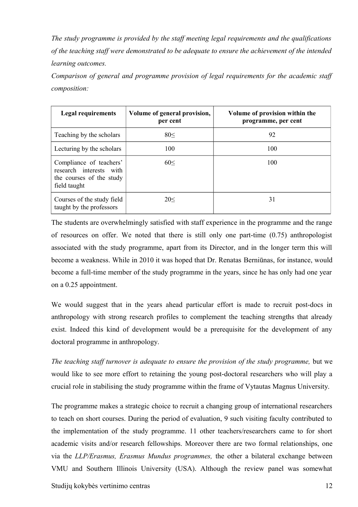*The study programme is provided by the staff meeting legal requirements and the qualifications of the teaching staff were demonstrated to be adequate to ensure the achievement of the intended learning outcomes.*

*Comparison of general and programme provision of legal requirements for the academic staff composition:* 

| <b>Legal requirements</b>                                                                      | Volume of general provision,<br>per cent | Volume of provision within the<br>programme, per cent |
|------------------------------------------------------------------------------------------------|------------------------------------------|-------------------------------------------------------|
| Teaching by the scholars                                                                       | 80<                                      | 92                                                    |
| Lecturing by the scholars                                                                      | 100                                      | 100                                                   |
| Compliance of teachers'<br>research interests with<br>the courses of the study<br>field taught | 60<                                      | 100                                                   |
| Courses of the study field<br>taught by the professors                                         | 20<                                      | 31                                                    |

The students are overwhelmingly satisfied with staff experience in the programme and the range of resources on offer. We noted that there is still only one part-time (0.75) anthropologist associated with the study programme, apart from its Director, and in the longer term this will become a weakness. While in 2010 it was hoped that Dr. Renatas Berniūnas, for instance, would become a full-time member of the study programme in the years, since he has only had one year on a 0.25 appointment.

We would suggest that in the years ahead particular effort is made to recruit post-docs in anthropology with strong research profiles to complement the teaching strengths that already exist. Indeed this kind of development would be a prerequisite for the development of any doctoral programme in anthropology.

*The teaching staff turnover is adequate to ensure the provision of the study programme,* but we would like to see more effort to retaining the young post-doctoral researchers who will play a crucial role in stabilising the study programme within the frame of Vytautas Magnus University.

The programme makes a strategic choice to recruit a changing group of international researchers to teach on short courses. During the period of evaluation, 9 such visiting faculty contributed to the implementation of the study programme. 11 other teachers/researchers came to for short academic visits and/or research fellowships. Moreover there are two formal relationships, one via the *LLP/Erasmus, Erasmus Mundus programmes,* the other a bilateral exchange between VMU and Southern Illinois University (USA). Although the review panel was somewhat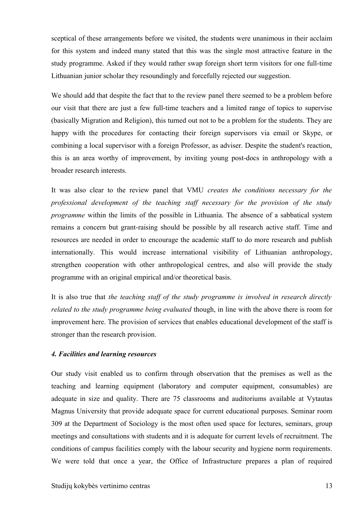sceptical of these arrangements before we visited, the students were unanimous in their acclaim for this system and indeed many stated that this was the single most attractive feature in the study programme. Asked if they would rather swap foreign short term visitors for one full-time Lithuanian junior scholar they resoundingly and forcefully rejected our suggestion.

We should add that despite the fact that to the review panel there seemed to be a problem before our visit that there are just a few full-time teachers and a limited range of topics to supervise (basically Migration and Religion), this turned out not to be a problem for the students. They are happy with the procedures for contacting their foreign supervisors via email or Skype, or combining a local supervisor with a foreign Professor, as adviser. Despite the student's reaction, this is an area worthy of improvement, by inviting young post-docs in anthropology with a broader research interests.

It was also clear to the review panel that VMU *creates the conditions necessary for the professional development of the teaching staff necessary for the provision of the study programme* within the limits of the possible in Lithuania. The absence of a sabbatical system remains a concern but grant-raising should be possible by all research active staff. Time and resources are needed in order to encourage the academic staff to do more research and publish internationally. This would increase international visibility of Lithuanian anthropology, strengthen cooperation with other anthropological centres, and also will provide the study programme with an original empirical and/or theoretical basis.

It is also true that *the teaching staff of the study programme is involved in research directly related to the study programme being evaluated* though, in line with the above there is room for improvement here. The provision of services that enables educational development of the staff is stronger than the research provision.

#### <span id="page-12-0"></span>*4. Facilities and learning resources*

Our study visit enabled us to confirm through observation that the premises as well as the teaching and learning equipment (laboratory and computer equipment, consumables) are adequate in size and quality. There are 75 classrooms and auditoriums available at Vytautas Magnus University that provide adequate space for current educational purposes. Seminar room 309 at the Department of Sociology is the most often used space for lectures, seminars, group meetings and consultations with students and it is adequate for current levels of recruitment. The conditions of campus facilities comply with the labour security and hygiene norm requirements. We were told that once a year, the Office of Infrastructure prepares a plan of required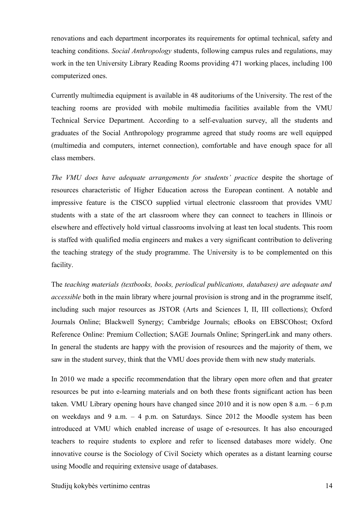renovations and each department incorporates its requirements for optimal technical, safety and teaching conditions. *Social Anthropology* students, following campus rules and regulations, may work in the ten University Library Reading Rooms providing 471 working places, including 100 computerized ones.

Currently multimedia equipment is available in 48 auditoriums of the University. The rest of the teaching rooms are provided with mobile multimedia facilities available from the VMU Technical Service Department. According to a self-evaluation survey, all the students and graduates of the Social Anthropology programme agreed that study rooms are well equipped (multimedia and computers, internet connection), comfortable and have enough space for all class members.

*The VMU does have adequate arrangements for students' practice despite the shortage of* resources characteristic of Higher Education across the European continent. A notable and impressive feature is the CISCO supplied virtual electronic classroom that provides VMU students with a state of the art classroom where they can connect to teachers in Illinois or elsewhere and effectively hold virtual classrooms involving at least ten local students. This room is staffed with qualified media engineers and makes a very significant contribution to delivering the teaching strategy of the study programme. The University is to be complemented on this facility.

The *teaching materials (textbooks, books, periodical publications, databases) are adequate and accessible* both in the main library where journal provision is strong and in the programme itself, including such major resources as JSTOR (Arts and Sciences I, II, III collections); Oxford Journals Online; Blackwell Synergy; Cambridge Journals; eBooks on EBSCOhost; Oxford Reference Online: Premium Collection; SAGE Journals Online; SpringerLink and many others. In general the students are happy with the provision of resources and the majority of them, we saw in the student survey, think that the VMU does provide them with new study materials.

In 2010 we made a specific recommendation that the library open more often and that greater resources be put into e-learning materials and on both these fronts significant action has been taken. VMU Library opening hours have changed since 2010 and it is now open 8 a.m. – 6 p.m on weekdays and 9 a.m. – 4 p.m. on Saturdays. Since 2012 the Moodle system has been introduced at VMU which enabled increase of usage of e-resources. It has also encouraged teachers to require students to explore and refer to licensed databases more widely. One innovative course is the Sociology of Civil Society which operates as a distant learning course using Moodle and requiring extensive usage of databases.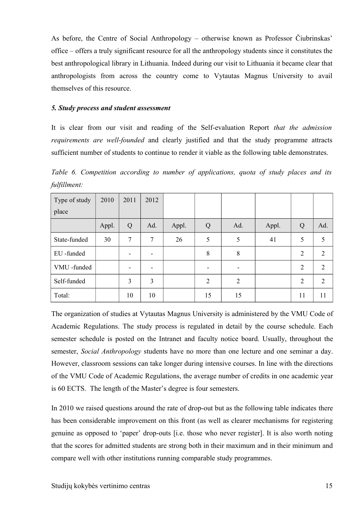As before, the Centre of Social Anthropology – otherwise known as Professor Čiubrinskas' office – offers a truly significant resource for all the anthropology students since it constitutes the best anthropological library in Lithuania. Indeed during our visit to Lithuania it became clear that anthropologists from across the country come to Vytautas Magnus University to avail themselves of this resource.

#### <span id="page-14-0"></span>*5. Study process and student assessment*

It is clear from our visit and reading of the Self-evaluation Report *that the admission requirements are well-founded* and clearly justified and that the study programme attracts sufficient number of students to continue to render it viable as the following table demonstrates.

*Table 6. Competition according to number of applications, quota of study places and its fulfillment:* 

| Type of study | 2010  | 2011   | 2012 |       |    |     |       |                |                |
|---------------|-------|--------|------|-------|----|-----|-------|----------------|----------------|
| place         |       |        |      |       |    |     |       |                |                |
|               | Appl. | Q      | Ad.  | Appl. | Q  | Ad. | Appl. | Q              | Ad.            |
| State-funded  | 30    | $\tau$ | 7    | 26    | 5  | 5   | 41    | 5              | 5              |
| EU-funded     |       |        |      |       | 8  | 8   |       | $\overline{2}$ | 2              |
| VMU-funded    |       |        |      |       |    |     |       | $\overline{2}$ | $\mathfrak{D}$ |
| Self-funded   |       | 3      | 3    |       | 2  | 2   |       | $\overline{2}$ | 2              |
| Total:        |       | 10     | 10   |       | 15 | 15  |       | 11             | 11             |

The organization of studies at Vytautas Magnus University is administered by the VMU Code of Academic Regulations. The study process is regulated in detail by the course schedule. Each semester schedule is posted on the Intranet and faculty notice board. Usually, throughout the semester, *Social Anthropology* students have no more than one lecture and one seminar a day. However, classroom sessions can take longer during intensive courses. In line with the directions of the VMU Code of Academic Regulations, the average number of credits in one academic year is 60 ECTS. The length of the Master's degree is four semesters.

In 2010 we raised questions around the rate of drop-out but as the following table indicates there has been considerable improvement on this front (as well as clearer mechanisms for registering genuine as opposed to 'paper' drop-outs [i.e. those who never register]. It is also worth noting that the scores for admitted students are strong both in their maximum and in their minimum and compare well with other institutions running comparable study programmes.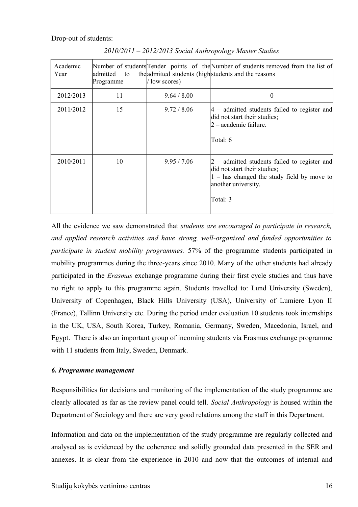Drop-out of students:

| Academic<br>Year | admitted<br>to<br>Programme | (low scores) | Number of students Tender points of the Number of students removed from the list of<br>the admitted students (high students and the reasons                        |
|------------------|-----------------------------|--------------|--------------------------------------------------------------------------------------------------------------------------------------------------------------------|
| 2012/2013        | 11                          | 9.64 / 8.00  | 0                                                                                                                                                                  |
| 2011/2012        | 15                          | 9.72 / 8.06  | $ 4 -$ admitted students failed to register and<br>did not start their studies;<br>2 – academic failure.<br>Total: 6                                               |
| 2010/2011        | 10                          | 9.95 / 7.06  | $2$ – admitted students failed to register and<br>did not start their studies;<br>$ 1 -$ has changed the study field by move to<br>another university.<br>Total: 3 |

*2010/2011 – 2012/2013 Social Anthropology Master Studies*

All the evidence we saw demonstrated that *students are encouraged to participate in research, and applied research activities and have strong, well-organised and funded opportunities to participate in student mobility programmes.* 57% of the programme students participated in mobility programmes during the three-years since 2010. Many of the other students had already participated in the *Erasmus* exchange programme during their first cycle studies and thus have no right to apply to this programme again. Students travelled to: Lund University (Sweden), University of Copenhagen, Black Hills University (USA), University of Lumiere Lyon II (France), Tallinn University etc. During the period under evaluation 10 students took internships in the UK, USA, South Korea, Turkey, Romania, Germany, Sweden, Macedonia, Israel, and Egypt. There is also an important group of incoming students via Erasmus exchange programme with 11 students from Italy, Sweden, Denmark.

#### <span id="page-15-0"></span>*6. Programme management*

Responsibilities for decisions and monitoring of the implementation of the study programme are clearly allocated as far as the review panel could tell. *Social Anthropology* is housed within the Department of Sociology and there are very good relations among the staff in this Department.

Information and data on the implementation of the study programme are regularly collected and analysed as is evidenced by the coherence and solidly grounded data presented in the SER and annexes. It is clear from the experience in 2010 and now that the outcomes of internal and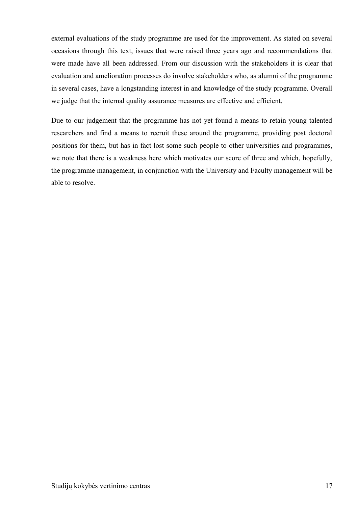external evaluations of the study programme are used for the improvement. As stated on several occasions through this text, issues that were raised three years ago and recommendations that were made have all been addressed. From our discussion with the stakeholders it is clear that evaluation and amelioration processes do involve stakeholders who, as alumni of the programme in several cases, have a longstanding interest in and knowledge of the study programme. Overall we judge that the internal quality assurance measures are effective and efficient.

Due to our judgement that the programme has not yet found a means to retain young talented researchers and find a means to recruit these around the programme, providing post doctoral positions for them, but has in fact lost some such people to other universities and programmes, we note that there is a weakness here which motivates our score of three and which, hopefully, the programme management, in conjunction with the University and Faculty management will be able to resolve.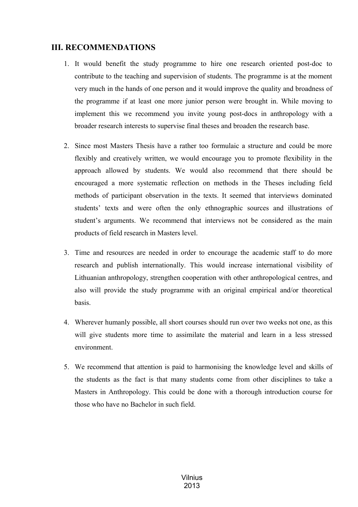# <span id="page-17-0"></span>**III. RECOMMENDATIONS**

- 1. It would benefit the study programme to hire one research oriented post-doc to contribute to the teaching and supervision of students. The programme is at the moment very much in the hands of one person and it would improve the quality and broadness of the programme if at least one more junior person were brought in. While moving to implement this we recommend you invite young post-docs in anthropology with a broader research interests to supervise final theses and broaden the research base.
- 2. Since most Masters Thesis have a rather too formulaic a structure and could be more flexibly and creatively written, we would encourage you to promote flexibility in the approach allowed by students. We would also recommend that there should be encouraged a more systematic reflection on methods in the Theses including field methods of participant observation in the texts. It seemed that interviews dominated students' texts and were often the only ethnographic sources and illustrations of student's arguments. We recommend that interviews not be considered as the main products of field research in Masters level.
- 3. Time and resources are needed in order to encourage the academic staff to do more research and publish internationally. This would increase international visibility of Lithuanian anthropology, strengthen cooperation with other anthropological centres, and also will provide the study programme with an original empirical and/or theoretical basis.
- 4. Wherever humanly possible, all short courses should run over two weeks not one, as this will give students more time to assimilate the material and learn in a less stressed environment.
- 5. We recommend that attention is paid to harmonising the knowledge level and skills of the students as the fact is that many students come from other disciplines to take a Masters in Anthropology. This could be done with a thorough introduction course for those who have no Bachelor in such field.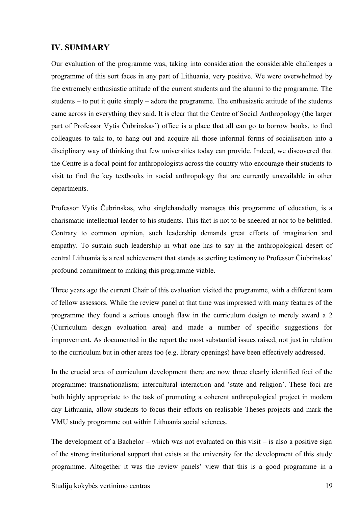### <span id="page-18-0"></span>**IV. SUMMARY**

Our evaluation of the programme was, taking into consideration the considerable challenges a programme of this sort faces in any part of Lithuania, very positive. We were overwhelmed by the extremely enthusiastic attitude of the current students and the alumni to the programme. The students – to put it quite simply – adore the programme. The enthusiastic attitude of the students came across in everything they said. It is clear that the Centre of Social Anthropology (the larger part of Professor Vytis Čubrinskas') office is a place that all can go to borrow books, to find colleagues to talk to, to hang out and acquire all those informal forms of socialisation into a disciplinary way of thinking that few universities today can provide. Indeed, we discovered that the Centre is a focal point for anthropologists across the country who encourage their students to visit to find the key textbooks in social anthropology that are currently unavailable in other departments.

Professor Vytis Čubrinskas, who singlehandedly manages this programme of education, is a charismatic intellectual leader to his students. This fact is not to be sneered at nor to be belittled. Contrary to common opinion, such leadership demands great efforts of imagination and empathy. To sustain such leadership in what one has to say in the anthropological desert of central Lithuania is a real achievement that stands as sterling testimony to Professor Čiubrinskas' profound commitment to making this programme viable.

Three years ago the current Chair of this evaluation visited the programme, with a different team of fellow assessors. While the review panel at that time was impressed with many features of the programme they found a serious enough flaw in the curriculum design to merely award a 2 (Curriculum design evaluation area) and made a number of specific suggestions for improvement. As documented in the report the most substantial issues raised, not just in relation to the curriculum but in other areas too (e.g. library openings) have been effectively addressed.

In the crucial area of curriculum development there are now three clearly identified foci of the programme: transnationalism; intercultural interaction and 'state and religion'. These foci are both highly appropriate to the task of promoting a coherent anthropological project in modern day Lithuania, allow students to focus their efforts on realisable Theses projects and mark the VMU study programme out within Lithuania social sciences.

The development of a Bachelor – which was not evaluated on this visit – is also a positive sign of the strong institutional support that exists at the university for the development of this study programme. Altogether it was the review panels' view that this is a good programme in a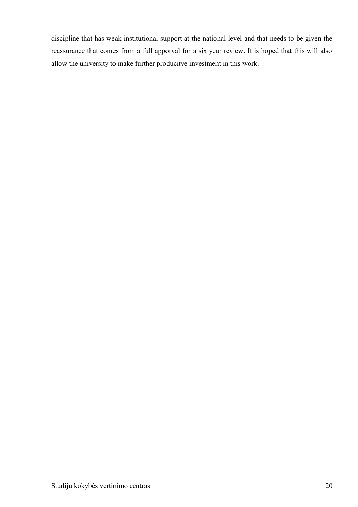discipline that has weak institutional support at the national level and that needs to be given the reassurance that comes from a full apporval for a six year review. It is hoped that this will also allow the university to make further producitve investment in this work.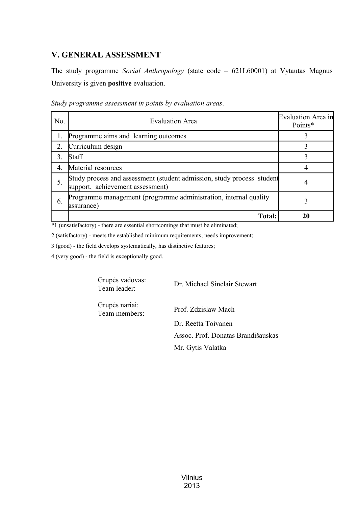# <span id="page-20-0"></span>**V. GENERAL ASSESSMENT**

The study programme *Social Anthropology* (state code – 621L60001) at Vytautas Magnus University is given **positive** evaluation.

| No.              | <b>Evaluation Area</b>                                                                                     | Evaluation Area in<br>Points* |
|------------------|------------------------------------------------------------------------------------------------------------|-------------------------------|
|                  | Programme aims and learning outcomes                                                                       |                               |
| $\overline{2}$ . | Curriculum design                                                                                          |                               |
| 3.               | Staff                                                                                                      |                               |
| $\overline{4}$   | Material resources                                                                                         |                               |
| 5.               | Study process and assessment (student admission, study process student<br>support, achievement assessment) |                               |
| 6.               | Programme management (programme administration, internal quality<br>assurance)                             |                               |
|                  | <b>Total:</b>                                                                                              | 20                            |

\*1 (unsatisfactory) - there are essential shortcomings that must be eliminated;

2 (satisfactory) - meets the established minimum requirements, needs improvement;

3 (good) - the field develops systematically, has distinctive features;

4 (very good) - the field is exceptionally good.

Grupės vadovas: Team leader: Dr. Michael Sinclair Stewart

Grupės nariai: Team members: Prof. Zdzislaw Mach

Dr. Reetta Toivanen Assoc. Prof. Donatas Brandišauskas Mr. Gytis Valatka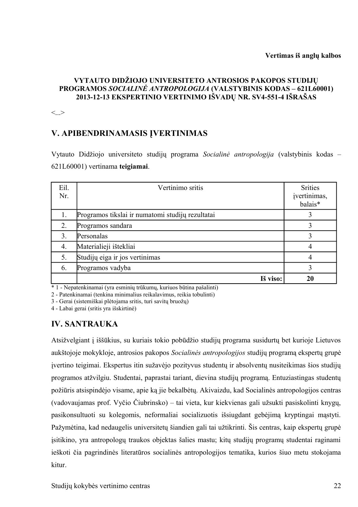#### **VYTAUTO DIDŽIOJO UNIVERSITETO ANTROSIOS PAKOPOS STUDIJŲ PROGRAMOS** *SOCIALINĖ ANTROPOLOGIJA* **(VALSTYBINIS KODAS – 621L60001) 2013-12-13 EKSPERTINIO VERTINIMO IŠVADŲ NR. SV4-551-4 IŠRAŠAS**

 $\langle \rangle$ 

# **V. APIBENDRINAMASIS ĮVERTINIMAS**

Vytauto Didžiojo universiteto studijų programa *Socialinė antropologija* (valstybinis kodas – 621L60001) vertinama **teigiamai**.

| Eil. | Vertinimo sritis                                 | <b>Srities</b> |
|------|--------------------------------------------------|----------------|
| Nr.  |                                                  | įvertinimas,   |
|      |                                                  | balais*        |
| 1.   | Programos tikslai ir numatomi studijų rezultatai |                |
| 2.   | Programos sandara                                |                |
| 3.   | Personalas                                       |                |
| 4.   | Materialieji ištekliai                           | 4              |
| 5.   | Studijų eiga ir jos vertinimas                   | 4              |
| 6.   | Programos vadyba                                 | 3              |
|      | Iš viso:                                         | 20             |

\* 1 - Nepatenkinamai (yra esminių trūkumų, kuriuos būtina pašalinti)

2 - Patenkinamai (tenkina minimalius reikalavimus, reikia tobulinti)

3 - Gerai (sistemiškai plėtojama sritis, turi savitų bruožų)

4 - Labai gerai (sritis yra išskirtinė)

## <span id="page-21-0"></span>**IV. SANTRAUKA**

Atsižvelgiant į iššūkius, su kuriais tokio pobūdžio studijų programa susidurtų bet kurioje Lietuvos aukštojoje mokykloje, antrosios pakopos *Socialinės antropologijos* studijų programą ekspertų grupė įvertino teigimai. Ekspertus itin sužavėjo pozityvus studentų ir absolventų nusiteikimas šios studijų programos atžvilgiu. Studentai, paprastai tariant, dievina studijų programą. Entuziastingas studentų požiūris atsispindėjo visame, apie ką jie bekalbėtų. Akivaizdu, kad Socialinės antropologijos centras (vadovaujamas prof. Vyčio Čiubrinsko) – tai vieta, kur kiekvienas gali užsukti pasiskolinti knygų, pasikonsultuoti su kolegomis, neformaliai socializuotis išsiugdant gebėjimą kryptingai mąstyti. Pažymėtina, kad nedaugelis universitetų šiandien gali tai užtikrinti. Šis centras, kaip ekspertų grupė įsitikino, yra antropologų traukos objektas šalies mastu; kitų studijų programų studentai raginami ieškoti čia pagrindinės literatūros socialinės antropologijos tematika, kurios šiuo metu stokojama kitur.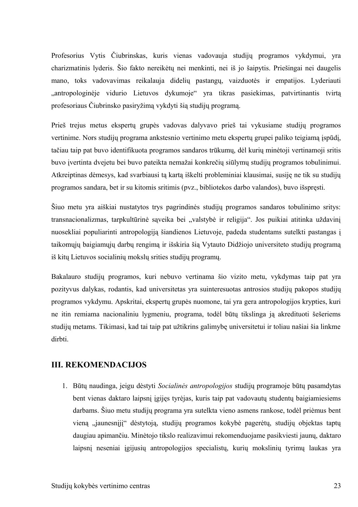Profesorius Vytis Čiubrinskas, kuris vienas vadovauja studijų programos vykdymui, yra charizmatinis lyderis. Šio fakto nereikėtų nei menkinti, nei iš jo šaipytis. Priešingai nei daugelis mano, toks vadovavimas reikalauja didelių pastangų, vaizduotės ir empatijos. Lyderiauti "antropologinėje vidurio Lietuvos dykumoje" yra tikras pasiekimas, patvirtinantis tvirtą profesoriaus Čiubrinsko pasiryžimą vykdyti šią studijų programą.

Prieš trejus metus ekspertų grupės vadovas dalyvavo prieš tai vykusiame studijų programos vertinime. Nors studijų programa ankstesnio vertinimo metu ekspertų grupei paliko teigiamą įspūdį, tačiau taip pat buvo identifikuota programos sandaros trūkumų, dėl kurių minėtoji vertinamoji sritis buvo įvertinta dvejetu bei buvo pateikta nemažai konkrečių siūlymų studijų programos tobulinimui. Atkreiptinas dėmesys, kad svarbiausi tą kartą iškelti probleminiai klausimai, susiję ne tik su studijų programos sandara, bet ir su kitomis sritimis (pvz., bibliotekos darbo valandos), buvo išspręsti.

Šiuo metu yra aiškiai nustatytos trys pagrindinės studijų programos sandaros tobulinimo sritys: transnacionalizmas, tarpkultūrinė sąveika bei "valstybė ir religija". Jos puikiai atitinka uždavinį nuosekliai populiarinti antropologiją šiandienos Lietuvoje, padeda studentams sutelkti pastangas į taikomųjų baigiamųjų darbų rengimą ir išskiria šią Vytauto Didžiojo universiteto studijų programą iš kitų Lietuvos socialinių mokslų srities studijų programų.

Bakalauro studijų programos, kuri nebuvo vertinama šio vizito metu, vykdymas taip pat yra pozityvus dalykas, rodantis, kad universitetas yra suinteresuotas antrosios studijų pakopos studijų programos vykdymu. Apskritai, ekspertų grupės nuomone, tai yra gera antropologijos krypties, kuri ne itin remiama nacionaliniu lygmeniu, programa, todėl būtų tikslinga ją akredituoti šešeriems studijų metams. Tikimasi, kad tai taip pat užtikrins galimybę universitetui ir toliau našiai šia linkme dirbti.

## **III. REKOMENDACIJOS**

1. Būtų naudinga, jeigu dėstyti *Socialinės antropologijos* studijų programoje būtų pasamdytas bent vienas daktaro laipsnį įgijęs tyrėjas, kuris taip pat vadovautų studentų baigiamiesiems darbams. Šiuo metu studijų programa yra sutelkta vieno asmens rankose, todėl priėmus bent vieną "jaunesnįjį" dėstytoją, studijų programos kokybė pagerėtų, studijų objektas taptų daugiau apimančiu. Minėtojo tikslo realizavimui rekomenduojame pasikviesti jaunų, daktaro laipsnį neseniai įgijusių antropologijos specialistų, kurių mokslinių tyrimų laukas yra